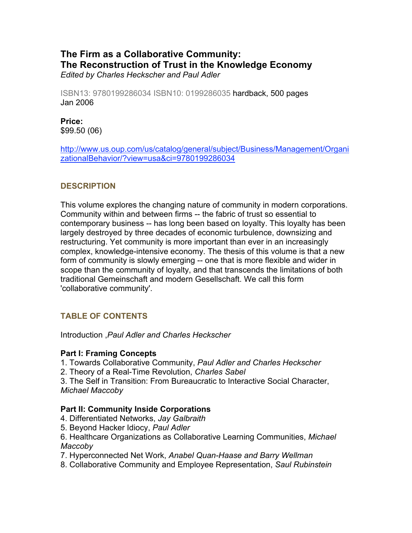# **The Firm as a Collaborative Community: The Reconstruction of Trust in the Knowledge Economy** *Edited by Charles Heckscher and Paul Adler*

ISBN13: 9780199286034 ISBN10: 0199286035 hardback, 500 pages Jan 2006

**Price:**  \$99.50 (06)

http://www.us.oup.com/us/catalog/general/subject/Business/Management/Organi zationalBehavior/?view=usa&ci=9780199286034

# **DESCRIPTION**

This volume explores the changing nature of community in modern corporations. Community within and between firms -- the fabric of trust so essential to contemporary business -- has long been based on loyalty. This loyalty has been largely destroyed by three decades of economic turbulence, downsizing and restructuring. Yet community is more important than ever in an increasingly complex, knowledge-intensive economy. The thesis of this volume is that a new form of community is slowly emerging -- one that is more flexible and wider in scope than the community of loyalty, and that transcends the limitations of both traditional Gemeinschaft and modern Gesellschaft. We call this form 'collaborative community'.

# **TABLE OF CONTENTS**

Introduction ,*Paul Adler and Charles Heckscher* 

### **Part I: Framing Concepts**

1. Towards Collaborative Community, *Paul Adler and Charles Heckscher* 

2. Theory of a Real-Time Revolution, *Charles Sabel* 

3. The Self in Transition: From Bureaucratic to Interactive Social Character, *Michael Maccoby* 

### **Part II: Community Inside Corporations**

- 4. Differentiated Networks, *Jay Galbraith*
- 5. Beyond Hacker Idiocy, *Paul Adler*

6. Healthcare Organizations as Collaborative Learning Communities, *Michael Maccoby* 

7. Hyperconnected Net Work, *Anabel Quan-Haase and Barry Wellman* 

8. Collaborative Community and Employee Representation, *Saul Rubinstein*